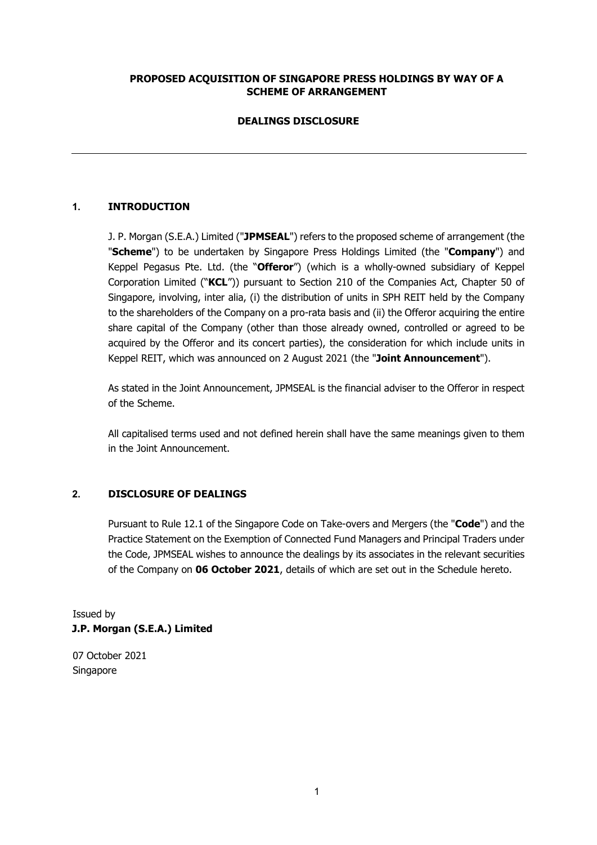# **PROPOSED ACQUISITION OF SINGAPORE PRESS HOLDINGS BY WAY OF A SCHEME OF ARRANGEMENT**

# **DEALINGS DISCLOSURE**

# **1. INTRODUCTION**

J. P. Morgan (S.E.A.) Limited ("**JPMSEAL**") refers to the proposed scheme of arrangement (the "**Scheme**") to be undertaken by Singapore Press Holdings Limited (the "**Company**") and Keppel Pegasus Pte. Ltd. (the "**Offeror**") (which is a wholly-owned subsidiary of Keppel Corporation Limited ("**KCL**")) pursuant to Section 210 of the Companies Act, Chapter 50 of Singapore, involving, inter alia, (i) the distribution of units in SPH REIT held by the Company to the shareholders of the Company on a pro-rata basis and (ii) the Offeror acquiring the entire share capital of the Company (other than those already owned, controlled or agreed to be acquired by the Offeror and its concert parties), the consideration for which include units in Keppel REIT, which was announced on 2 August 2021 (the "**Joint Announcement**").

As stated in the Joint Announcement, JPMSEAL is the financial adviser to the Offeror in respect of the Scheme.

All capitalised terms used and not defined herein shall have the same meanings given to them in the Joint Announcement.

### **2. DISCLOSURE OF DEALINGS**

Pursuant to Rule 12.1 of the Singapore Code on Take-overs and Mergers (the "**Code**") and the Practice Statement on the Exemption of Connected Fund Managers and Principal Traders under the Code, JPMSEAL wishes to announce the dealings by its associates in the relevant securities of the Company on **06 October 2021**, details of which are set out in the Schedule hereto.

Issued by **J.P. Morgan (S.E.A.) Limited** 

07 October 2021 Singapore